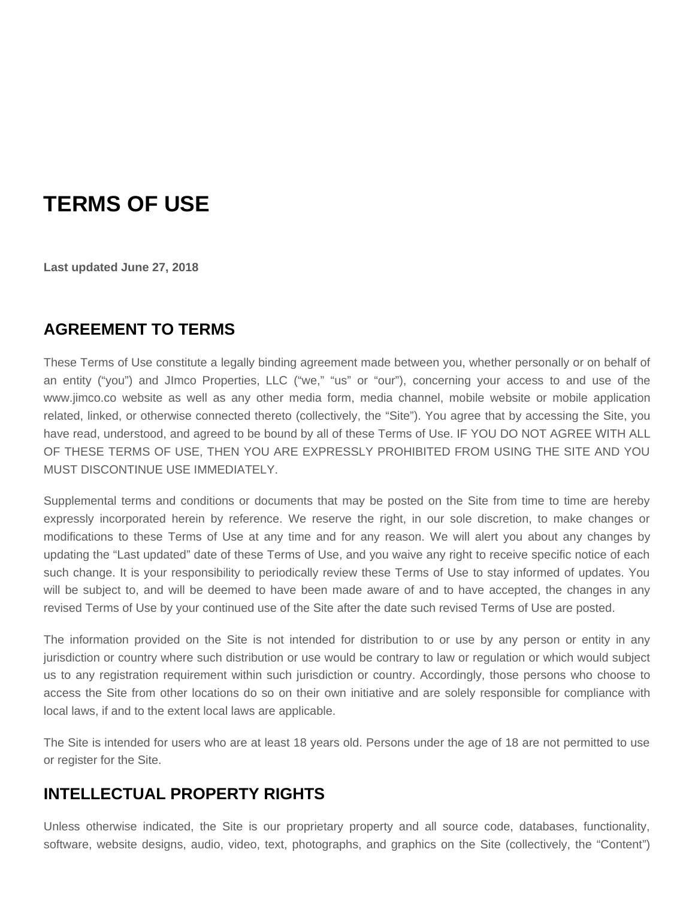# **TERMS OF USE**

**Last updated June 27, 2018**

# **AGREEMENT TO TERMS**

These Terms of Use constitute a legally binding agreement made between you, whether personally or on behalf of an entity ("you") and JImco Properties, LLC ("we," "us" or "our"), concerning your access to and use of the www.jimco.co website as well as any other media form, media channel, mobile website or mobile application related, linked, or otherwise connected thereto (collectively, the "Site"). You agree that by accessing the Site, you have read, understood, and agreed to be bound by all of these Terms of Use. IF YOU DO NOT AGREE WITH ALL OF THESE TERMS OF USE, THEN YOU ARE EXPRESSLY PROHIBITED FROM USING THE SITE AND YOU MUST DISCONTINUE USE IMMEDIATELY.

Supplemental terms and conditions or documents that may be posted on the Site from time to time are hereby expressly incorporated herein by reference. We reserve the right, in our sole discretion, to make changes or modifications to these Terms of Use at any time and for any reason. We will alert you about any changes by updating the "Last updated" date of these Terms of Use, and you waive any right to receive specific notice of each such change. It is your responsibility to periodically review these Terms of Use to stay informed of updates. You will be subject to, and will be deemed to have been made aware of and to have accepted, the changes in any revised Terms of Use by your continued use of the Site after the date such revised Terms of Use are posted.

The information provided on the Site is not intended for distribution to or use by any person or entity in any jurisdiction or country where such distribution or use would be contrary to law or regulation or which would subject us to any registration requirement within such jurisdiction or country. Accordingly, those persons who choose to access the Site from other locations do so on their own initiative and are solely responsible for compliance with local laws, if and to the extent local laws are applicable.

The Site is intended for users who are at least 18 years old. Persons under the age of 18 are not permitted to use or register for the Site.

# **INTELLECTUAL PROPERTY RIGHTS**

Unless otherwise indicated, the Site is our proprietary property and all source code, databases, functionality, software, website designs, audio, video, text, photographs, and graphics on the Site (collectively, the "Content")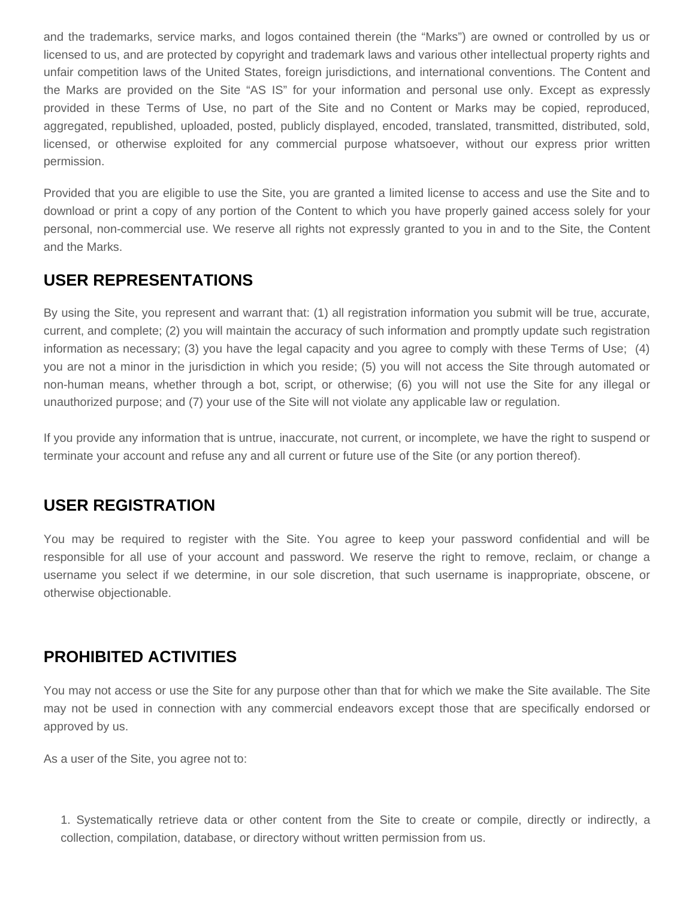and the trademarks, service marks, and logos contained therein (the "Marks") are owned or controlled by us or licensed to us, and are protected by copyright and trademark laws and various other intellectual property rights and unfair competition laws of the United States, foreign jurisdictions, and international conventions. The Content and the Marks are provided on the Site "AS IS" for your information and personal use only. Except as expressly provided in these Terms of Use, no part of the Site and no Content or Marks may be copied, reproduced, aggregated, republished, uploaded, posted, publicly displayed, encoded, translated, transmitted, distributed, sold, licensed, or otherwise exploited for any commercial purpose whatsoever, without our express prior written permission.

Provided that you are eligible to use the Site, you are granted a limited license to access and use the Site and to download or print a copy of any portion of the Content to which you have properly gained access solely for your personal, non-commercial use. We reserve all rights not expressly granted to you in and to the Site, the Content and the Marks.

### **USER REPRESENTATIONS**

By using the Site, you represent and warrant that: (1) all registration information you submit will be true, accurate, current, and complete; (2) you will maintain the accuracy of such information and promptly update such registration information as necessary; (3) you have the legal capacity and you agree to comply with these Terms of Use; (4) you are not a minor in the jurisdiction in which you reside; (5) you will not access the Site through automated or non-human means, whether through a bot, script, or otherwise; (6) you will not use the Site for any illegal or unauthorized purpose; and (7) your use of the Site will not violate any applicable law or regulation.

If you provide any information that is untrue, inaccurate, not current, or incomplete, we have the right to suspend or terminate your account and refuse any and all current or future use of the Site (or any portion thereof).

### **USER REGISTRATION**

You may be required to register with the Site. You agree to keep your password confidential and will be responsible for all use of your account and password. We reserve the right to remove, reclaim, or change a username you select if we determine, in our sole discretion, that such username is inappropriate, obscene, or otherwise objectionable.

### **PROHIBITED ACTIVITIES**

You may not access or use the Site for any purpose other than that for which we make the Site available. The Site may not be used in connection with any commercial endeavors except those that are specifically endorsed or approved by us.

As a user of the Site, you agree not to:

1. Systematically retrieve data or other content from the Site to create or compile, directly or indirectly, a collection, compilation, database, or directory without written permission from us.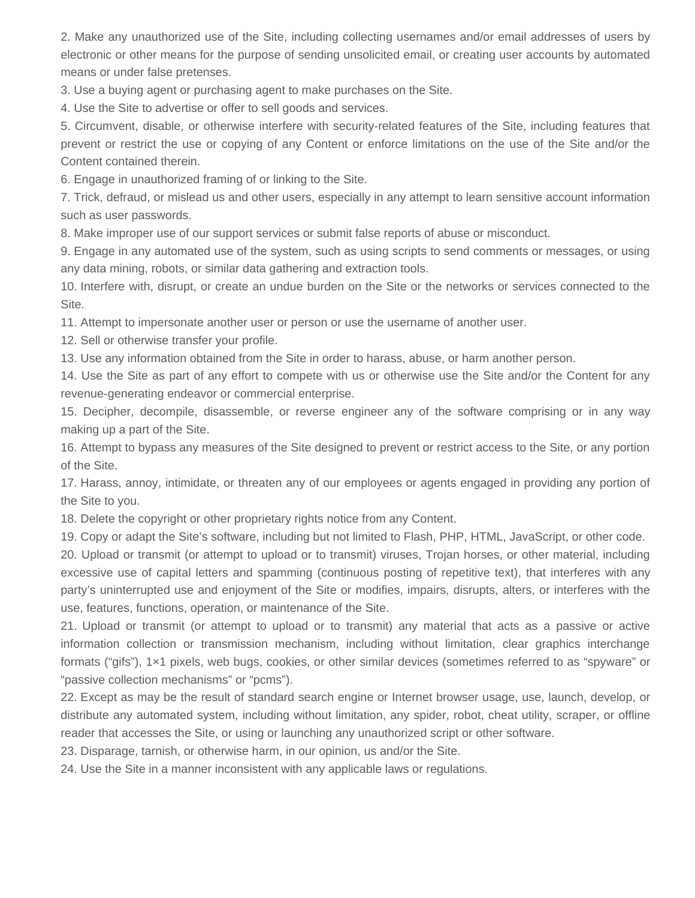2. Make any unauthorized use of the Site, including collecting usernames and/or email addresses of users by electronic or other means for the purpose of sending unsolicited email, or creating user accounts by automated means or under false pretenses.

3. Use a buying agent or purchasing agent to make purchases on the Site.

4. Use the Site to advertise or offer to sell goods and services.

5. Circumvent, disable, or otherwise interfere with security-related features of the Site, including features that prevent or restrict the use or copying of any Content or enforce limitations on the use of the Site and/or the Content contained therein.

6. Engage in unauthorized framing of or linking to the Site.

7. Trick, defraud, or mislead us and other users, especially in any attempt to learn sensitive account information such as user passwords.

8. Make improper use of our support services or submit false reports of abuse or misconduct.

9. Engage in any automated use of the system, such as using scripts to send comments or messages, or using any data mining, robots, or similar data gathering and extraction tools.

10. Interfere with, disrupt, or create an undue burden on the Site or the networks or services connected to the Site.

11. Attempt to impersonate another user or person or use the username of another user.

12. Sell or otherwise transfer your profile.

13. Use any information obtained from the Site in order to harass, abuse, or harm another person.

14. Use the Site as part of any effort to compete with us or otherwise use the Site and/or the Content for any revenue-generating endeavor or commercial enterprise.

15. Decipher, decompile, disassemble, or reverse engineer any of the software comprising or in any way making up a part of the Site.

16. Attempt to bypass any measures of the Site designed to prevent or restrict access to the Site, or any portion of the Site.

17. Harass, annoy, intimidate, or threaten any of our employees or agents engaged in providing any portion of the Site to you.

18. Delete the copyright or other proprietary rights notice from any Content.

19. Copy or adapt the Site's software, including but not limited to Flash, PHP, HTML, JavaScript, or other code.

20. Upload or transmit (or attempt to upload or to transmit) viruses, Trojan horses, or other material, including excessive use of capital letters and spamming (continuous posting of repetitive text), that interferes with any party's uninterrupted use and enjoyment of the Site or modifies, impairs, disrupts, alters, or interferes with the use, features, functions, operation, or maintenance of the Site.

21. Upload or transmit (or attempt to upload or to transmit) any material that acts as a passive or active information collection or transmission mechanism, including without limitation, clear graphics interchange formats ("gifs"), 1×1 pixels, web bugs, cookies, or other similar devices (sometimes referred to as "spyware" or "passive collection mechanisms" or "pcms").

22. Except as may be the result of standard search engine or Internet browser usage, use, launch, develop, or distribute any automated system, including without limitation, any spider, robot, cheat utility, scraper, or offline reader that accesses the Site, or using or launching any unauthorized script or other software.

23. Disparage, tarnish, or otherwise harm, in our opinion, us and/or the Site.

24. Use the Site in a manner inconsistent with any applicable laws or regulations.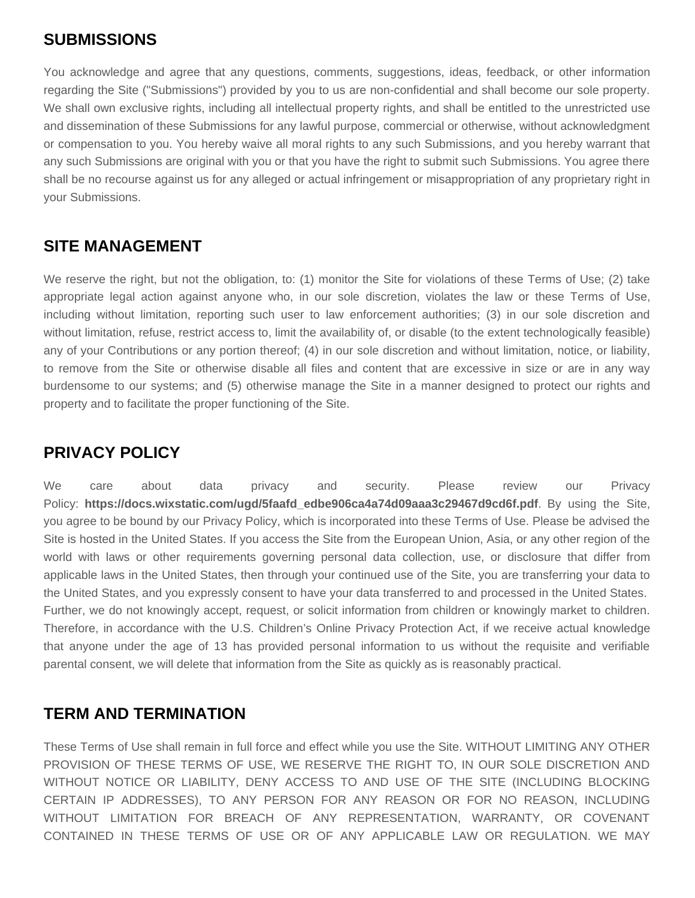### **SUBMISSIONS**

You acknowledge and agree that any questions, comments, suggestions, ideas, feedback, or other information regarding the Site ("Submissions") provided by you to us are non-confidential and shall become our sole property. We shall own exclusive rights, including all intellectual property rights, and shall be entitled to the unrestricted use and dissemination of these Submissions for any lawful purpose, commercial or otherwise, without acknowledgment or compensation to you. You hereby waive all moral rights to any such Submissions, and you hereby warrant that any such Submissions are original with you or that you have the right to submit such Submissions. You agree there shall be no recourse against us for any alleged or actual infringement or misappropriation of any proprietary right in your Submissions.

### **SITE MANAGEMENT**

We reserve the right, but not the obligation, to: (1) monitor the Site for violations of these Terms of Use; (2) take appropriate legal action against anyone who, in our sole discretion, violates the law or these Terms of Use, including without limitation, reporting such user to law enforcement authorities; (3) in our sole discretion and without limitation, refuse, restrict access to, limit the availability of, or disable (to the extent technologically feasible) any of your Contributions or any portion thereof; (4) in our sole discretion and without limitation, notice, or liability, to remove from the Site or otherwise disable all files and content that are excessive in size or are in any way burdensome to our systems; and (5) otherwise manage the Site in a manner designed to protect our rights and property and to facilitate the proper functioning of the Site.

# **PRIVACY POLICY**

We care about data privacy and security. Please review our Privacy Policy: **https://docs.wixstatic.com/ugd/5faafd\_edbe906ca4a74d09aaa3c29467d9cd6f.pdf**. By using the Site, you agree to be bound by our Privacy Policy, which is incorporated into these Terms of Use. Please be advised the Site is hosted in the United States. If you access the Site from the European Union, Asia, or any other region of the world with laws or other requirements governing personal data collection, use, or disclosure that differ from applicable laws in the United States, then through your continued use of the Site, you are transferring your data to the United States, and you expressly consent to have your data transferred to and processed in the United States. Further, we do not knowingly accept, request, or solicit information from children or knowingly market to children. Therefore, in accordance with the U.S. Children's Online Privacy Protection Act, if we receive actual knowledge that anyone under the age of 13 has provided personal information to us without the requisite and verifiable parental consent, we will delete that information from the Site as quickly as is reasonably practical.

#### **TERM AND TERMINATION**

These Terms of Use shall remain in full force and effect while you use the Site. WITHOUT LIMITING ANY OTHER PROVISION OF THESE TERMS OF USE, WE RESERVE THE RIGHT TO, IN OUR SOLE DISCRETION AND WITHOUT NOTICE OR LIABILITY, DENY ACCESS TO AND USE OF THE SITE (INCLUDING BLOCKING CERTAIN IP ADDRESSES), TO ANY PERSON FOR ANY REASON OR FOR NO REASON, INCLUDING WITHOUT LIMITATION FOR BREACH OF ANY REPRESENTATION, WARRANTY, OR COVENANT CONTAINED IN THESE TERMS OF USE OR OF ANY APPLICABLE LAW OR REGULATION. WE MAY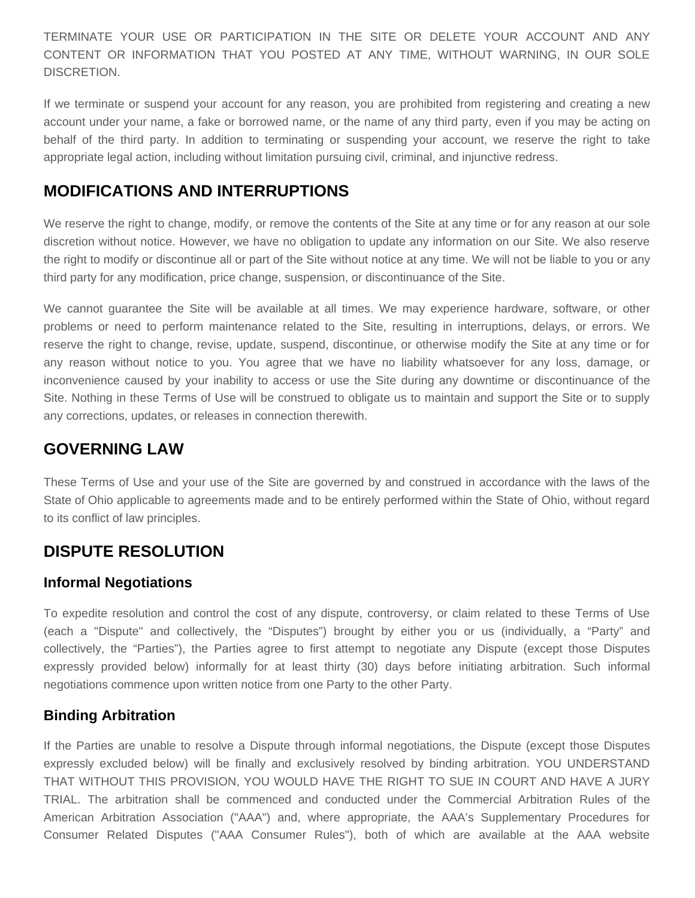TERMINATE YOUR USE OR PARTICIPATION IN THE SITE OR DELETE YOUR ACCOUNT AND ANY CONTENT OR INFORMATION THAT YOU POSTED AT ANY TIME, WITHOUT WARNING, IN OUR SOLE DISCRETION.

If we terminate or suspend your account for any reason, you are prohibited from registering and creating a new account under your name, a fake or borrowed name, or the name of any third party, even if you may be acting on behalf of the third party. In addition to terminating or suspending your account, we reserve the right to take appropriate legal action, including without limitation pursuing civil, criminal, and injunctive redress.

# **MODIFICATIONS AND INTERRUPTIONS**

We reserve the right to change, modify, or remove the contents of the Site at any time or for any reason at our sole discretion without notice. However, we have no obligation to update any information on our Site. We also reserve the right to modify or discontinue all or part of the Site without notice at any time. We will not be liable to you or any third party for any modification, price change, suspension, or discontinuance of the Site.

We cannot guarantee the Site will be available at all times. We may experience hardware, software, or other problems or need to perform maintenance related to the Site, resulting in interruptions, delays, or errors. We reserve the right to change, revise, update, suspend, discontinue, or otherwise modify the Site at any time or for any reason without notice to you. You agree that we have no liability whatsoever for any loss, damage, or inconvenience caused by your inability to access or use the Site during any downtime or discontinuance of the Site. Nothing in these Terms of Use will be construed to obligate us to maintain and support the Site or to supply any corrections, updates, or releases in connection therewith.

# **GOVERNING LAW**

These Terms of Use and your use of the Site are governed by and construed in accordance with the laws of the State of Ohio applicable to agreements made and to be entirely performed within the State of Ohio, without regard to its conflict of law principles.

# **DISPUTE RESOLUTION**

#### **Informal Negotiations**

To expedite resolution and control the cost of any dispute, controversy, or claim related to these Terms of Use (each a "Dispute" and collectively, the "Disputes") brought by either you or us (individually, a "Party" and collectively, the "Parties"), the Parties agree to first attempt to negotiate any Dispute (except those Disputes expressly provided below) informally for at least thirty (30) days before initiating arbitration. Such informal negotiations commence upon written notice from one Party to the other Party.

#### **Binding Arbitration**

If the Parties are unable to resolve a Dispute through informal negotiations, the Dispute (except those Disputes expressly excluded below) will be finally and exclusively resolved by binding arbitration. YOU UNDERSTAND THAT WITHOUT THIS PROVISION, YOU WOULD HAVE THE RIGHT TO SUE IN COURT AND HAVE A JURY TRIAL. The arbitration shall be commenced and conducted under the Commercial Arbitration Rules of the American Arbitration Association ("AAA") and, where appropriate, the AAA's Supplementary Procedures for Consumer Related Disputes ("AAA Consumer Rules"), both of which are available at the AAA website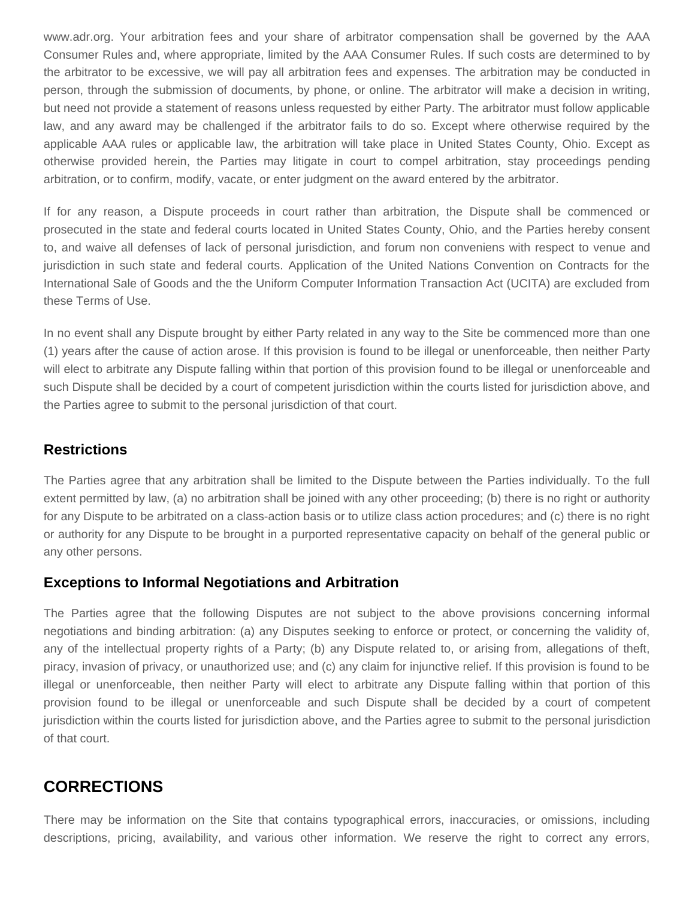www.adr.org. Your arbitration fees and your share of arbitrator compensation shall be governed by the AAA Consumer Rules and, where appropriate, limited by the AAA Consumer Rules. If such costs are determined to by the arbitrator to be excessive, we will pay all arbitration fees and expenses. The arbitration may be conducted in person, through the submission of documents, by phone, or online. The arbitrator will make a decision in writing, but need not provide a statement of reasons unless requested by either Party. The arbitrator must follow applicable law, and any award may be challenged if the arbitrator fails to do so. Except where otherwise required by the applicable AAA rules or applicable law, the arbitration will take place in United States County, Ohio. Except as otherwise provided herein, the Parties may litigate in court to compel arbitration, stay proceedings pending arbitration, or to confirm, modify, vacate, or enter judgment on the award entered by the arbitrator.

If for any reason, a Dispute proceeds in court rather than arbitration, the Dispute shall be commenced or prosecuted in the state and federal courts located in United States County, Ohio, and the Parties hereby consent to, and waive all defenses of lack of personal jurisdiction, and forum non conveniens with respect to venue and jurisdiction in such state and federal courts. Application of the United Nations Convention on Contracts for the International Sale of Goods and the the Uniform Computer Information Transaction Act (UCITA) are excluded from these Terms of Use.

In no event shall any Dispute brought by either Party related in any way to the Site be commenced more than one (1) years after the cause of action arose. If this provision is found to be illegal or unenforceable, then neither Party will elect to arbitrate any Dispute falling within that portion of this provision found to be illegal or unenforceable and such Dispute shall be decided by a court of competent jurisdiction within the courts listed for jurisdiction above, and the Parties agree to submit to the personal jurisdiction of that court.

#### **Restrictions**

The Parties agree that any arbitration shall be limited to the Dispute between the Parties individually. To the full extent permitted by law, (a) no arbitration shall be joined with any other proceeding; (b) there is no right or authority for any Dispute to be arbitrated on a class-action basis or to utilize class action procedures; and (c) there is no right or authority for any Dispute to be brought in a purported representative capacity on behalf of the general public or any other persons.

#### **Exceptions to Informal Negotiations and Arbitration**

The Parties agree that the following Disputes are not subject to the above provisions concerning informal negotiations and binding arbitration: (a) any Disputes seeking to enforce or protect, or concerning the validity of, any of the intellectual property rights of a Party; (b) any Dispute related to, or arising from, allegations of theft, piracy, invasion of privacy, or unauthorized use; and (c) any claim for injunctive relief. If this provision is found to be illegal or unenforceable, then neither Party will elect to arbitrate any Dispute falling within that portion of this provision found to be illegal or unenforceable and such Dispute shall be decided by a court of competent jurisdiction within the courts listed for jurisdiction above, and the Parties agree to submit to the personal jurisdiction of that court.

### **CORRECTIONS**

There may be information on the Site that contains typographical errors, inaccuracies, or omissions, including descriptions, pricing, availability, and various other information. We reserve the right to correct any errors,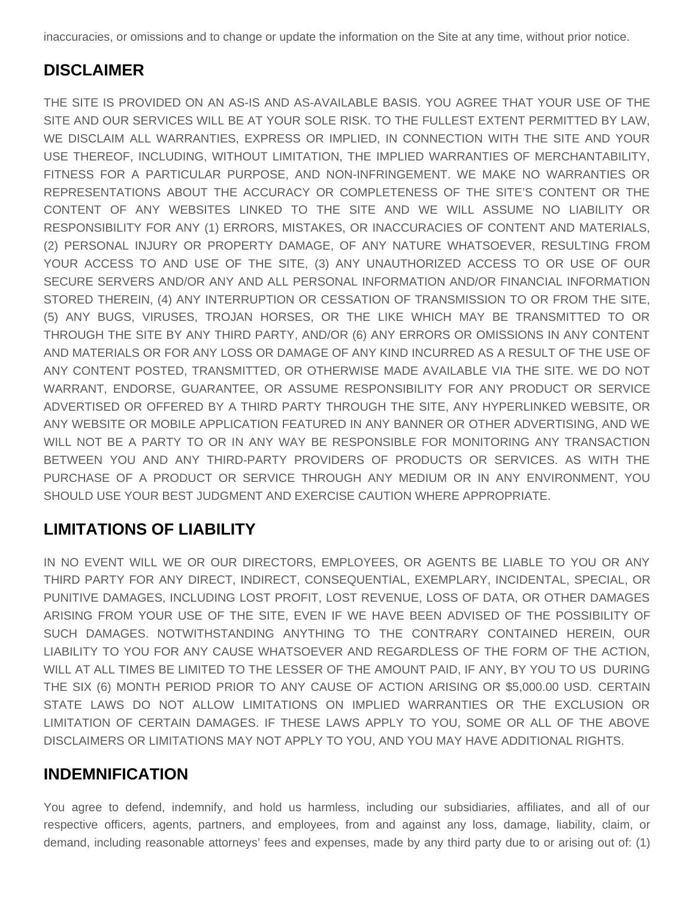inaccuracies, or omissions and to change or update the information on the Site at any time, without prior notice.

# **DISCLAIMER**

THE SITE IS PROVIDED ON AN AS-IS AND AS-AVAILABLE BASIS. YOU AGREE THAT YOUR USE OF THE SITE AND OUR SERVICES WILL BE AT YOUR SOLE RISK. TO THE FULLEST EXTENT PERMITTED BY LAW, WE DISCLAIM ALL WARRANTIES, EXPRESS OR IMPLIED, IN CONNECTION WITH THE SITE AND YOUR USE THEREOF, INCLUDING, WITHOUT LIMITATION, THE IMPLIED WARRANTIES OF MERCHANTABILITY, FITNESS FOR A PARTICULAR PURPOSE, AND NON-INFRINGEMENT. WE MAKE NO WARRANTIES OR REPRESENTATIONS ABOUT THE ACCURACY OR COMPLETENESS OF THE SITE'S CONTENT OR THE CONTENT OF ANY WEBSITES LINKED TO THE SITE AND WE WILL ASSUME NO LIABILITY OR RESPONSIBILITY FOR ANY (1) ERRORS, MISTAKES, OR INACCURACIES OF CONTENT AND MATERIALS, (2) PERSONAL INJURY OR PROPERTY DAMAGE, OF ANY NATURE WHATSOEVER, RESULTING FROM YOUR ACCESS TO AND USE OF THE SITE, (3) ANY UNAUTHORIZED ACCESS TO OR USE OF OUR SECURE SERVERS AND/OR ANY AND ALL PERSONAL INFORMATION AND/OR FINANCIAL INFORMATION STORED THEREIN, (4) ANY INTERRUPTION OR CESSATION OF TRANSMISSION TO OR FROM THE SITE, (5) ANY BUGS, VIRUSES, TROJAN HORSES, OR THE LIKE WHICH MAY BE TRANSMITTED TO OR THROUGH THE SITE BY ANY THIRD PARTY, AND/OR (6) ANY ERRORS OR OMISSIONS IN ANY CONTENT AND MATERIALS OR FOR ANY LOSS OR DAMAGE OF ANY KIND INCURRED AS A RESULT OF THE USE OF ANY CONTENT POSTED, TRANSMITTED, OR OTHERWISE MADE AVAILABLE VIA THE SITE. WE DO NOT WARRANT, ENDORSE, GUARANTEE, OR ASSUME RESPONSIBILITY FOR ANY PRODUCT OR SERVICE ADVERTISED OR OFFERED BY A THIRD PARTY THROUGH THE SITE, ANY HYPERLINKED WEBSITE, OR ANY WEBSITE OR MOBILE APPLICATION FEATURED IN ANY BANNER OR OTHER ADVERTISING, AND WE WILL NOT BE A PARTY TO OR IN ANY WAY BE RESPONSIBLE FOR MONITORING ANY TRANSACTION BETWEEN YOU AND ANY THIRD-PARTY PROVIDERS OF PRODUCTS OR SERVICES. AS WITH THE PURCHASE OF A PRODUCT OR SERVICE THROUGH ANY MEDIUM OR IN ANY ENVIRONMENT, YOU SHOULD USE YOUR BEST JUDGMENT AND EXERCISE CAUTION WHERE APPROPRIATE.

# **LIMITATIONS OF LIABILITY**

IN NO EVENT WILL WE OR OUR DIRECTORS, EMPLOYEES, OR AGENTS BE LIABLE TO YOU OR ANY THIRD PARTY FOR ANY DIRECT, INDIRECT, CONSEQUENTIAL, EXEMPLARY, INCIDENTAL, SPECIAL, OR PUNITIVE DAMAGES, INCLUDING LOST PROFIT, LOST REVENUE, LOSS OF DATA, OR OTHER DAMAGES ARISING FROM YOUR USE OF THE SITE, EVEN IF WE HAVE BEEN ADVISED OF THE POSSIBILITY OF SUCH DAMAGES. NOTWITHSTANDING ANYTHING TO THE CONTRARY CONTAINED HEREIN, OUR LIABILITY TO YOU FOR ANY CAUSE WHATSOEVER AND REGARDLESS OF THE FORM OF THE ACTION, WILL AT ALL TIMES BE LIMITED TO THE LESSER OF THE AMOUNT PAID, IF ANY, BY YOU TO US DURING THE SIX (6) MONTH PERIOD PRIOR TO ANY CAUSE OF ACTION ARISING OR \$5,000.00 USD. CERTAIN STATE LAWS DO NOT ALLOW LIMITATIONS ON IMPLIED WARRANTIES OR THE EXCLUSION OR LIMITATION OF CERTAIN DAMAGES. IF THESE LAWS APPLY TO YOU, SOME OR ALL OF THE ABOVE DISCLAIMERS OR LIMITATIONS MAY NOT APPLY TO YOU, AND YOU MAY HAVE ADDITIONAL RIGHTS.

# **INDEMNIFICATION**

You agree to defend, indemnify, and hold us harmless, including our subsidiaries, affiliates, and all of our respective officers, agents, partners, and employees, from and against any loss, damage, liability, claim, or demand, including reasonable attorneys' fees and expenses, made by any third party due to or arising out of: (1)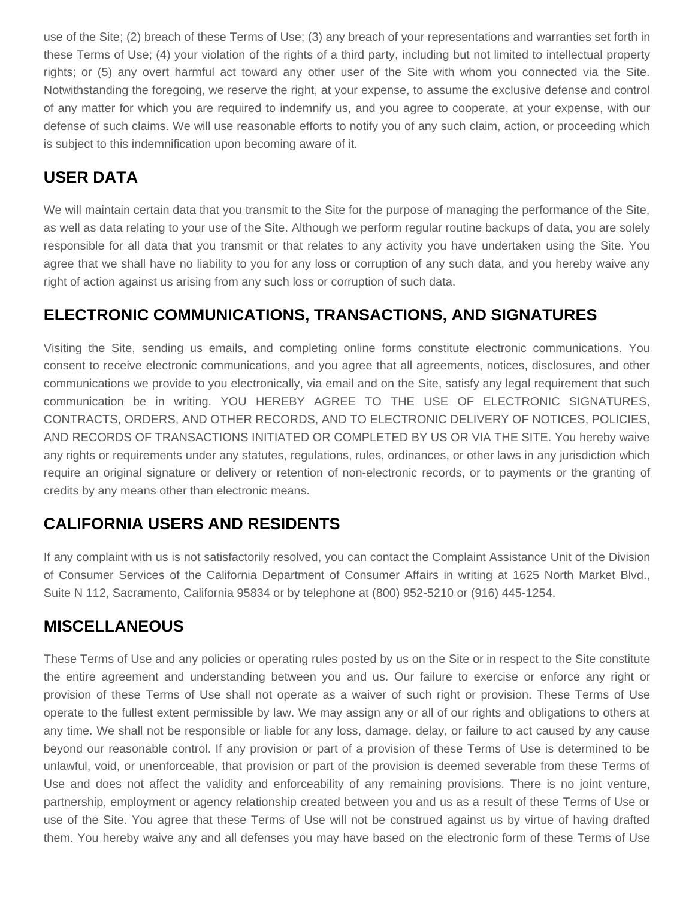use of the Site; (2) breach of these Terms of Use; (3) any breach of your representations and warranties set forth in these Terms of Use; (4) your violation of the rights of a third party, including but not limited to intellectual property rights; or (5) any overt harmful act toward any other user of the Site with whom you connected via the Site. Notwithstanding the foregoing, we reserve the right, at your expense, to assume the exclusive defense and control of any matter for which you are required to indemnify us, and you agree to cooperate, at your expense, with our defense of such claims. We will use reasonable efforts to notify you of any such claim, action, or proceeding which is subject to this indemnification upon becoming aware of it.

# **USER DATA**

We will maintain certain data that you transmit to the Site for the purpose of managing the performance of the Site, as well as data relating to your use of the Site. Although we perform regular routine backups of data, you are solely responsible for all data that you transmit or that relates to any activity you have undertaken using the Site. You agree that we shall have no liability to you for any loss or corruption of any such data, and you hereby waive any right of action against us arising from any such loss or corruption of such data.

# **ELECTRONIC COMMUNICATIONS, TRANSACTIONS, AND SIGNATURES**

Visiting the Site, sending us emails, and completing online forms constitute electronic communications. You consent to receive electronic communications, and you agree that all agreements, notices, disclosures, and other communications we provide to you electronically, via email and on the Site, satisfy any legal requirement that such communication be in writing. YOU HEREBY AGREE TO THE USE OF ELECTRONIC SIGNATURES, CONTRACTS, ORDERS, AND OTHER RECORDS, AND TO ELECTRONIC DELIVERY OF NOTICES, POLICIES, AND RECORDS OF TRANSACTIONS INITIATED OR COMPLETED BY US OR VIA THE SITE. You hereby waive any rights or requirements under any statutes, regulations, rules, ordinances, or other laws in any jurisdiction which require an original signature or delivery or retention of non-electronic records, or to payments or the granting of credits by any means other than electronic means.

# **CALIFORNIA USERS AND RESIDENTS**

If any complaint with us is not satisfactorily resolved, you can contact the Complaint Assistance Unit of the Division of Consumer Services of the California Department of Consumer Affairs in writing at 1625 North Market Blvd., Suite N 112, Sacramento, California 95834 or by telephone at (800) 952-5210 or (916) 445-1254.

# **MISCELLANEOUS**

These Terms of Use and any policies or operating rules posted by us on the Site or in respect to the Site constitute the entire agreement and understanding between you and us. Our failure to exercise or enforce any right or provision of these Terms of Use shall not operate as a waiver of such right or provision. These Terms of Use operate to the fullest extent permissible by law. We may assign any or all of our rights and obligations to others at any time. We shall not be responsible or liable for any loss, damage, delay, or failure to act caused by any cause beyond our reasonable control. If any provision or part of a provision of these Terms of Use is determined to be unlawful, void, or unenforceable, that provision or part of the provision is deemed severable from these Terms of Use and does not affect the validity and enforceability of any remaining provisions. There is no joint venture, partnership, employment or agency relationship created between you and us as a result of these Terms of Use or use of the Site. You agree that these Terms of Use will not be construed against us by virtue of having drafted them. You hereby waive any and all defenses you may have based on the electronic form of these Terms of Use